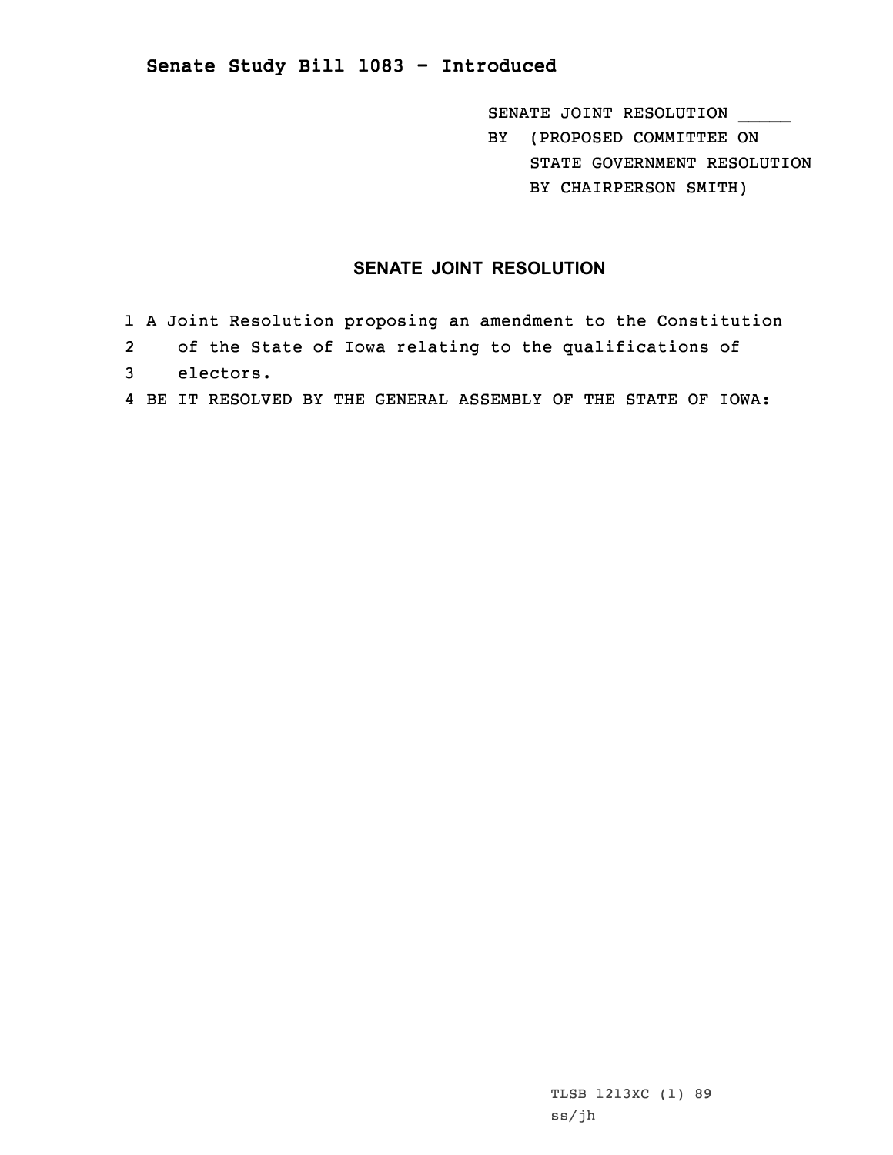## **Senate Study Bill 1083 - Introduced**

SENATE JOINT RESOLUTION \_\_\_\_\_\_ BY (PROPOSED COMMITTEE ON STATE GOVERNMENT RESOLUTION BY CHAIRPERSON SMITH)

## **SENATE JOINT RESOLUTION**

- 1 <sup>A</sup> Joint Resolution proposing an amendment to the Constitution
- 2 of the State of Iowa relating to the qualifications of
- 3 electors.
- 4 BE IT RESOLVED BY THE GENERAL ASSEMBLY OF THE STATE OF IOWA: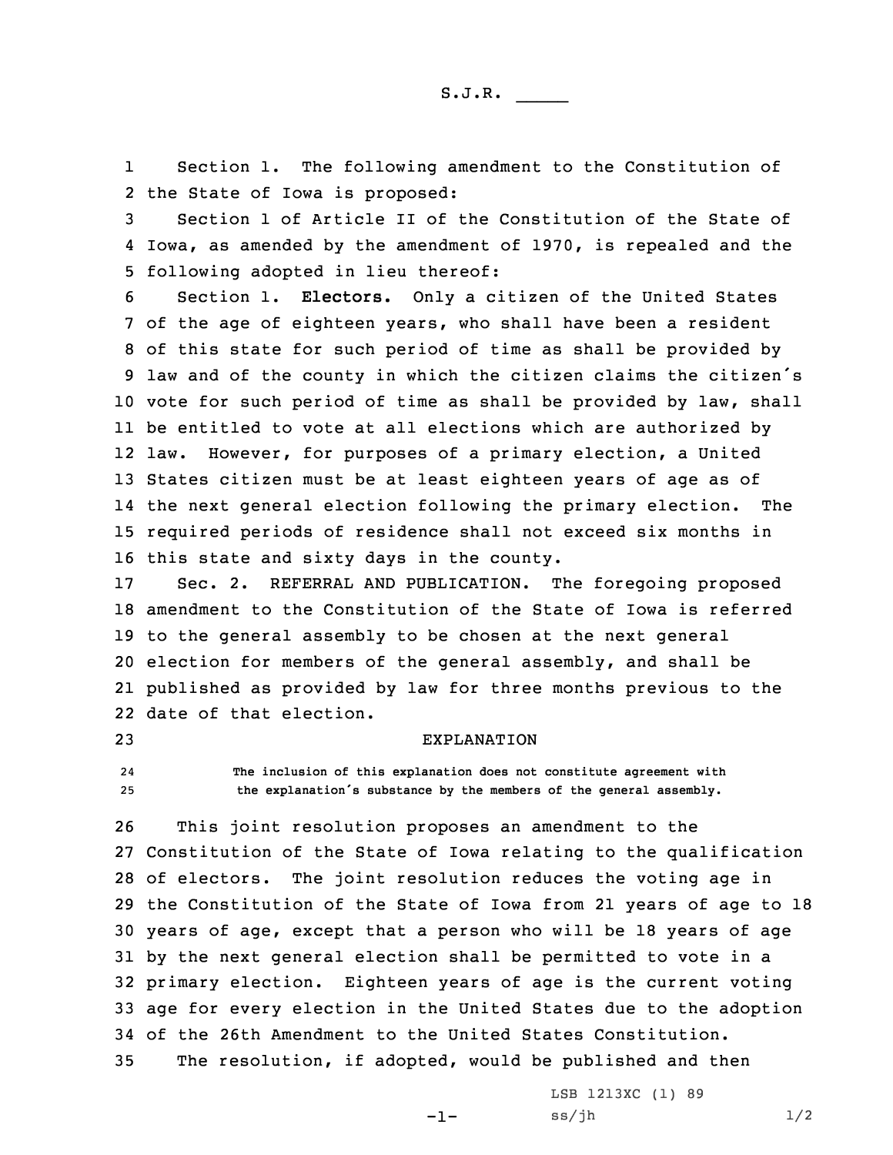S.J.R. \_\_\_\_\_

1 Section 1. The following amendment to the Constitution of 2 the State of Iowa is proposed:

3 Section 1 of Article II of the Constitution of the State of 4 Iowa, as amended by the amendment of 1970, is repealed and the 5 following adopted in lieu thereof:

 Section 1. **Electors.** Only <sup>a</sup> citizen of the United States of the age of eighteen years, who shall have been <sup>a</sup> resident of this state for such period of time as shall be provided by law and of the county in which the citizen claims the citizen's vote for such period of time as shall be provided by law, shall be entitled to vote at all elections which are authorized by law. However, for purposes of <sup>a</sup> primary election, <sup>a</sup> United States citizen must be at least eighteen years of age as of the next general election following the primary election. The required periods of residence shall not exceed six months in this state and sixty days in the county.

 Sec. 2. REFERRAL AND PUBLICATION. The foregoing proposed amendment to the Constitution of the State of Iowa is referred to the general assembly to be chosen at the next general election for members of the general assembly, and shall be published as provided by law for three months previous to the date of that election.

## 23 EXPLANATION

24 **The inclusion of this explanation does not constitute agreement with** <sup>25</sup> **the explanation's substance by the members of the general assembly.**

 This joint resolution proposes an amendment to the Constitution of the State of Iowa relating to the qualification of electors. The joint resolution reduces the voting age in the Constitution of the State of Iowa from 21 years of age to 18 years of age, except that <sup>a</sup> person who will be 18 years of age by the next general election shall be permitted to vote in <sup>a</sup> primary election. Eighteen years of age is the current voting age for every election in the United States due to the adoption of the 26th Amendment to the United States Constitution. The resolution, if adopted, would be published and then

-1-

LSB 1213XC (1) 89  $ss/jh$   $1/2$